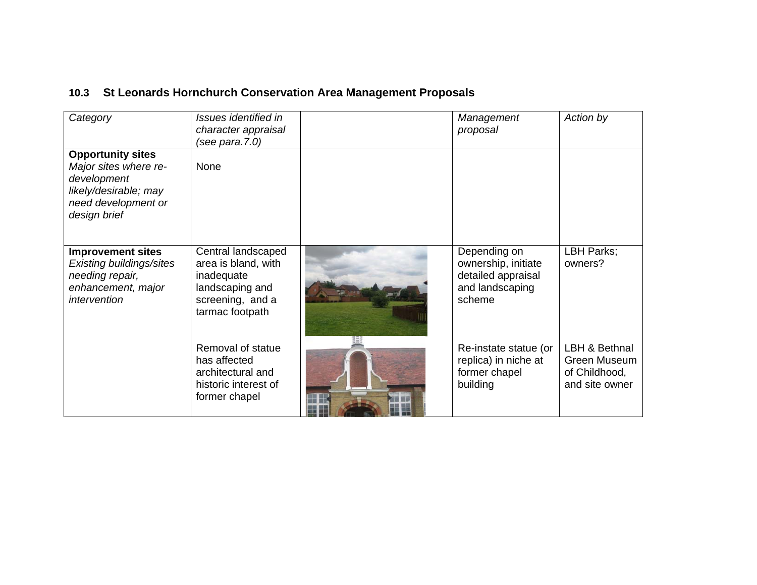## **10.3 St Leonards Hornchurch Conservation Area Management Proposals**

| Category                                                                                                                         | Issues identified in<br>character appraisal<br>(see para.7.0)                                                     | Management<br>proposal                                                                 | Action by                                                        |
|----------------------------------------------------------------------------------------------------------------------------------|-------------------------------------------------------------------------------------------------------------------|----------------------------------------------------------------------------------------|------------------------------------------------------------------|
| <b>Opportunity sites</b><br>Major sites where re-<br>development<br>likely/desirable; may<br>need development or<br>design brief | None                                                                                                              |                                                                                        |                                                                  |
| <b>Improvement sites</b><br>Existing buildings/sites<br>needing repair,<br>enhancement, major<br>intervention                    | Central landscaped<br>area is bland, with<br>inadequate<br>landscaping and<br>screening, and a<br>tarmac footpath | Depending on<br>ownership, initiate<br>detailed appraisal<br>and landscaping<br>scheme | LBH Parks;<br>owners?                                            |
|                                                                                                                                  | Removal of statue<br>has affected<br>architectural and<br>historic interest of<br>former chapel                   | Re-instate statue (or<br>replica) in niche at<br>former chapel<br>building             | LBH & Bethnal<br>Green Museum<br>of Childhood,<br>and site owner |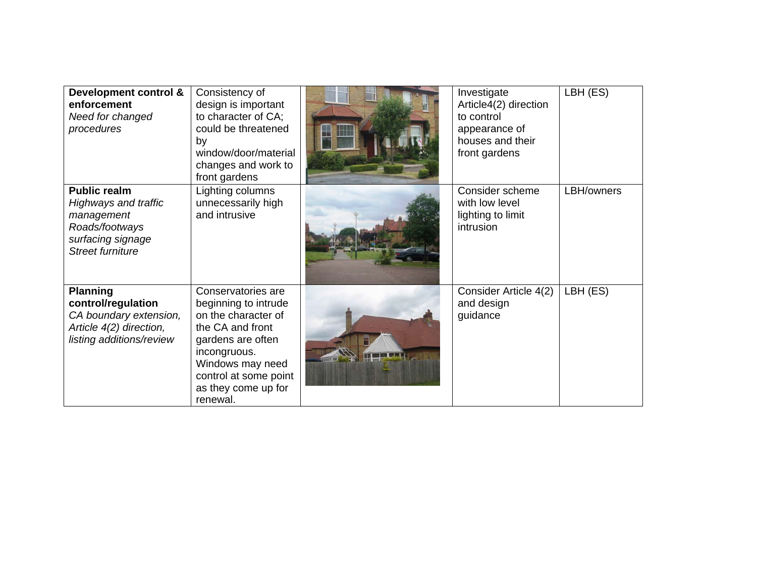| Development control &<br>enforcement<br>Need for changed<br>procedures                                                             | Consistency of<br>design is important<br>to character of CA;<br>could be threatened<br>by<br>window/door/material<br>changes and work to<br>front gardens                                                  | Investigate<br>Article4(2) direction<br>to control<br>appearance of<br>houses and their<br>front gardens | LBH (ES)   |
|------------------------------------------------------------------------------------------------------------------------------------|------------------------------------------------------------------------------------------------------------------------------------------------------------------------------------------------------------|----------------------------------------------------------------------------------------------------------|------------|
| <b>Public realm</b><br><b>Highways and traffic</b><br>management<br>Roads/footways<br>surfacing signage<br><b>Street furniture</b> | Lighting columns<br>unnecessarily high<br>and intrusive                                                                                                                                                    | Consider scheme<br>with low level<br>lighting to limit<br>intrusion                                      | LBH/owners |
| <b>Planning</b><br>control/regulation<br>CA boundary extension,<br>Article 4(2) direction,<br>listing additions/review             | Conservatories are<br>beginning to intrude<br>on the character of<br>the CA and front<br>gardens are often<br>incongruous.<br>Windows may need<br>control at some point<br>as they come up for<br>renewal. | Consider Article 4(2)<br>and design<br>guidance                                                          | LBH (ES)   |